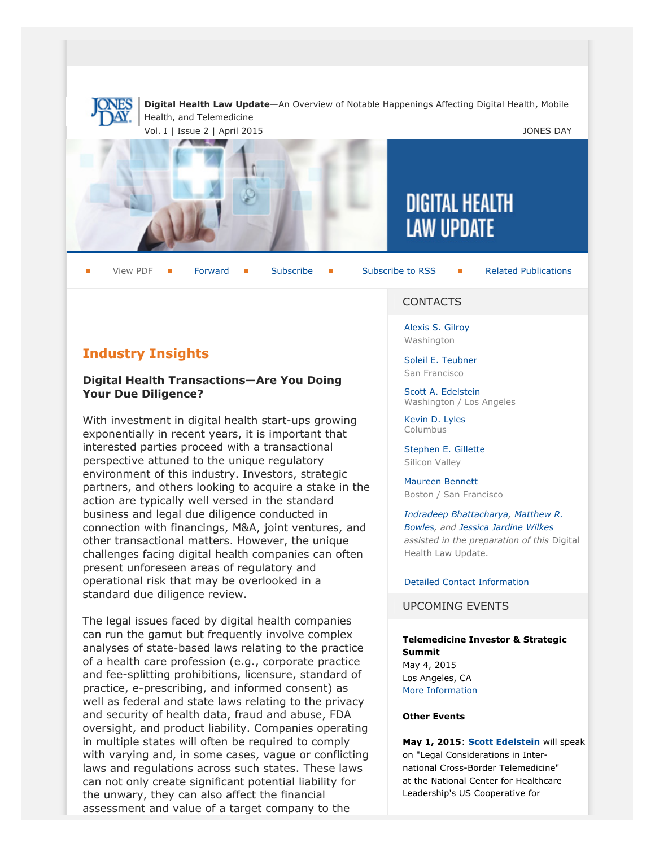

**Digital Health Law Update**—An Overview of Notable Happenings Affecting Digital Health, Mobile Health, and Telemedicine

Vol. I | Issue 2 | April 2015 **JONES DAY** 



View PDF **[Forward](http://thewritestuff.jonesday.com/cff/73ed93f70a82c74f2da5989550b11a49b951021f/) Forward [Subscribe](http://www.jonesday.com/newsknowledge/publications.aspx) Gubscribe to RSS** [Related Publications](http://www.jonesday.com/experiencepractices/servicedetail.aspx?serviceid=356c9fb8-c2f3-4127-b726-5a715f24c61a§ion=Publications)

#### **CONTACTS**

[Alexis S. Gilroy](http://www.jonesday.com/agilroy) Washington

[Soleil E. Teubner](http://www.jonesday.com/steubner) San Francisco

[Scott A. Edelstein](http://www.jonesday.com/sedelstein) Washington / Los Angeles

**DIGITAL HEALTH** 

**LAW UPDATE** 

[Kevin D. Lyles](http://www.jonesday.com/kdlyles) Columbus

[Stephen E. Gillette](http://www.jonesday.com/segillette) Silicon Valley

[Maureen Bennett](http://www.jonesday.com/mbennett) Boston / San Francisco

*[Indradeep Bhattacharya](http://www.jonesday.com/ibhattacharya), [Matthew R.](http://www.jonesday.com/mbowles) [Bowles](http://www.jonesday.com/mbowles), and [Jessica Jardine Wilkes](http://www.jonesday.com/jjardinewilkes) assisted in the preparation of this* Digital Health Law Update.

[Detailed Contact Information](#page-3-0)

UPCOMING EVENTS

**Telemedicine Investor & Strategic Summit** May 4, 2015 Los Angeles, CA [More Information](http://www.americantelemed.org/ata-2015/program-keynotes/telemedicine-investor-strategic-summit#.VQSOlivF_Yg)

#### **Other Events**

**May 1, 2015**: **[Scott Edelstein](http://www.jonesday.com/sedelstein/)** will speak on "Legal Considerations in International Cross-Border Telemedicine" at the National Center for Healthcare Leadership's US Cooperative for

## **Industry Insights**

#### **Digital Health Transactions—Are You Doing Your Due Diligence?**

With investment in digital health start-ups growing exponentially in recent years, it is important that interested parties proceed with a transactional perspective attuned to the unique regulatory environment of this industry. Investors, strategic partners, and others looking to acquire a stake in the action are typically well versed in the standard business and legal due diligence conducted in connection with financings, M&A, joint ventures, and other transactional matters. However, the unique challenges facing digital health companies can often present unforeseen areas of regulatory and operational risk that may be overlooked in a standard due diligence review.

The legal issues faced by digital health companies can run the gamut but frequently involve complex analyses of state-based laws relating to the practice of a health care profession (e.g., corporate practice and fee-splitting prohibitions, licensure, standard of practice, e-prescribing, and informed consent) as well as federal and state laws relating to the privacy and security of health data, fraud and abuse, FDA oversight, and product liability. Companies operating in multiple states will often be required to comply with varying and, in some cases, vague or conflicting laws and regulations across such states. These laws can not only create significant potential liability for the unwary, they can also affect the financial assessment and value of a target company to the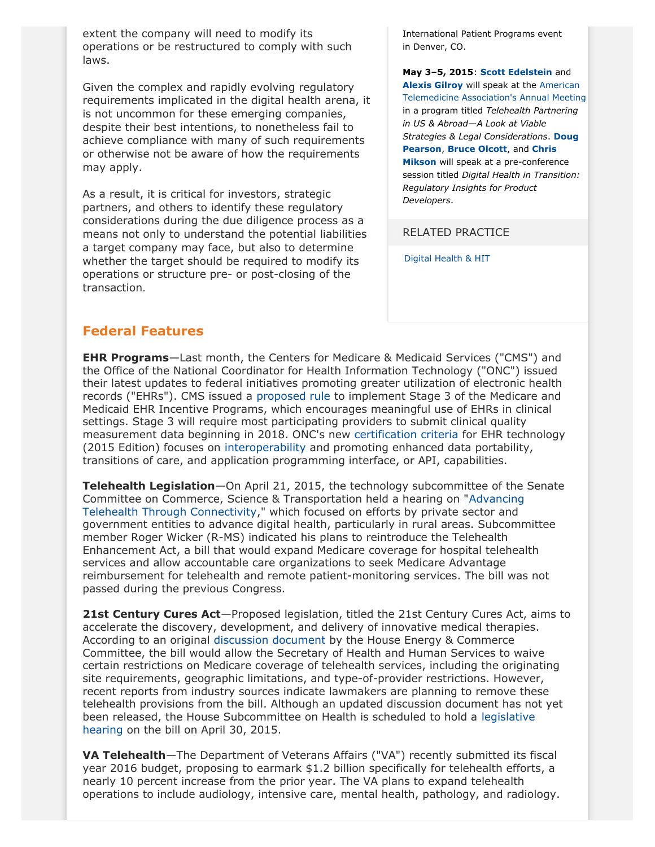extent the company will need to modify its operations or be restructured to comply with such laws.

Given the complex and rapidly evolving regulatory requirements implicated in the digital health arena, it is not uncommon for these emerging companies, despite their best intentions, to nonetheless fail to achieve compliance with many of such requirements or otherwise not be aware of how the requirements may apply.

As a result, it is critical for investors, strategic partners, and others to identify these regulatory considerations during the due diligence process as a means not only to understand the potential liabilities a target company may face, but also to determine whether the target should be required to modify its operations or structure pre- or post-closing of the transaction.

International Patient Programs event in Denver, CO.

**May 3–5, 2015**: **[Scott Edelstein](http://www.jonesday.com/sedelstein/)** and **[Alexis Gilroy](http://www.jonesday.com/agilroy/)** will speak at the [American](http://www.americantelemed.org/ata-2015/conference-overview#.VP7zo_kVihM) [Telemedicine Association's Annual Meeting](http://www.americantelemed.org/ata-2015/conference-overview#.VP7zo_kVihM) in a program titled *Telehealth Partnering in US & Abroad—A Look at Viable Strategies & Legal Considerations*. **[Doug](http://www.jonesday.com/dhpearson) [Pearson](http://www.jonesday.com/dhpearson)**, **[Bruce Olcott](http://www.jonesday.com/bolcott)**, and **[Chris](http://www.jonesday.com/cmikson) [Mikson](http://www.jonesday.com/cmikson)** will speak at a pre-conference session titled *Digital Health in Transition: Regulatory Insights for Product Developers*.

#### RELATED PRACTICE

[Digital Health & HIT](http://www.jonesday.com/digitalhealthhit/)

# **Federal Features**

**EHR Programs**—Last month, the Centers for Medicare & Medicaid Services ("CMS") and the Office of the National Coordinator for Health Information Technology ("ONC") issued their latest updates to federal initiatives promoting greater utilization of electronic health records ("EHRs"). CMS issued a [proposed rule](http://www.cms.gov/Regulations-and-Guidance/Legislation/EHRIncentivePrograms/Downloads/Stage3_Rule.pdf) to implement Stage 3 of the Medicare and Medicaid EHR Incentive Programs, which encourages meaningful use of EHRs in clinical settings. Stage 3 will require most participating providers to submit clinical quality measurement data beginning in 2018. ONC's new [certification criteria](http://www.gpo.gov/fdsys/pkg/FR-2015-03-30/pdf/2015-06612.pdf) for EHR technology (2015 Edition) focuses on [interoperability](http://www.healthit.gov/sites/default/files/ONC-Certification-Program-2015-Edition_FactSheet.pdf) and promoting enhanced data portability, transitions of care, and application programming interface, or API, capabilities.

**Telehealth Legislation**—On April 21, 2015, the technology subcommittee of the Senate Committee on Commerce, Science & Transportation held a hearing on "[Advancing](http://www.commerce.senate.gov/public/index.cfm?p=Hearings&ContentRecord_id=0c47b88f-41b1-461b-96b6-14b6a82f5632&ContentType_id=14f995b9-dfa5-407a-9d35-56cc7152a7ed&Group_id=b06c39af-e033-4cba-9221-de668ca1978a) [Telehealth Through Connectivity](http://www.commerce.senate.gov/public/index.cfm?p=Hearings&ContentRecord_id=0c47b88f-41b1-461b-96b6-14b6a82f5632&ContentType_id=14f995b9-dfa5-407a-9d35-56cc7152a7ed&Group_id=b06c39af-e033-4cba-9221-de668ca1978a)," which focused on efforts by private sector and government entities to advance digital health, particularly in rural areas. Subcommittee member Roger Wicker (R-MS) indicated his plans to reintroduce the Telehealth Enhancement Act, a bill that would expand Medicare coverage for hospital telehealth services and allow accountable care organizations to seek Medicare Advantage reimbursement for telehealth and remote patient-monitoring services. The bill was not passed during the previous Congress.

**21st Century Cures Act**—Proposed legislation, titled the 21st Century Cures Act, aims to accelerate the discovery, development, and delivery of innovative medical therapies. According to an original [discussion document](http://energycommerce.house.gov/sites/republicans.energycommerce.house.gov/files/114/Analysis/Cures/20150127-Cures-Discussion-Document.pdf) by the House Energy & Commerce Committee, the bill would allow the Secretary of Health and Human Services to waive certain restrictions on Medicare coverage of telehealth services, including the originating site requirements, geographic limitations, and type-of-provider restrictions. However, recent reports from industry sources indicate lawmakers are planning to remove these telehealth provisions from the bill. Although an updated discussion document has not yet been released, the House Subcommittee on Health is scheduled to hold a [legislative](http://energycommerce.house.gov/press-release/21st-century-cures-legislative-phase-continues) [hearing](http://energycommerce.house.gov/press-release/21st-century-cures-legislative-phase-continues) on the bill on April 30, 2015.

**VA Telehealth**—The Department of Veterans Affairs ("VA") recently submitted its fiscal year 2016 budget, proposing to earmark \$1.2 billion specifically for telehealth efforts, a nearly 10 percent increase from the prior year. The VA plans to expand telehealth operations to include audiology, intensive care, mental health, pathology, and radiology.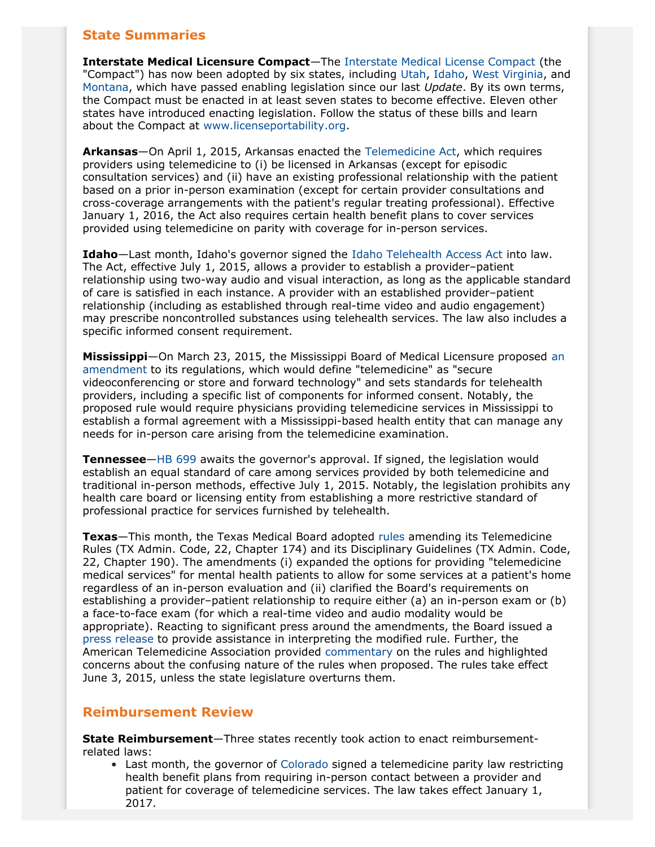# **State Summaries**

**Interstate Medical Licensure Compact**—The [Interstate Medical License Compact](http://www.licenseportability.org/assets/pdf/Interstate-Medical-Licensure-Compact-(FINAL).pdf) (the "Compact") has now been adopted by six states, including [Utah](http://le.utah.gov/~2015/bills/static/HB0121.html), [Idaho](http://www.legislature.idaho.gov/legislation/2015/H0150.pdf), [West Virginia](http://www.legis.state.wv.us/Bill_Status/bills_text.cfm?billdoc=HB2496%20SUB%20ENR.htm&yr=2015&sesstype=RS&i=2496), and [Montana](http://leg.mt.gov/bills/2015/billhtml/HB0429.htm), which have passed enabling legislation since our last *Update*. By its own terms, the Compact must be enacted in at least seven states to become effective. Eleven other states have introduced enacting legislation. Follow the status of these bills and learn about the Compact at [www.licenseportability.org.](http://www.licenseportability.org)

**Arkansas**—On April 1, 2015, Arkansas enacted the [Telemedicine Act,](http://www.cqstatetrack.com/texis/redir?id=54c7110ca) which requires providers using telemedicine to (i) be licensed in Arkansas (except for episodic consultation services) and (ii) have an existing professional relationship with the patient based on a prior in-person examination (except for certain provider consultations and cross-coverage arrangements with the patient's regular treating professional). Effective January 1, 2016, the Act also requires certain health benefit plans to cover services provided using telemedicine on parity with coverage for in-person services.

**Idaho**—Last month, Idaho's governor signed the [Idaho Telehealth Access Act](http://www.legislature.idaho.gov/legislation/2015/H0189.pdf) into law. The Act, effective July 1, 2015, allows a provider to establish a provider–patient relationship using two-way audio and visual interaction, as long as the applicable standard of care is satisfied in each instance. A provider with an established provider–patient relationship (including as established through real-time video and audio engagement) may prescribe noncontrolled substances using telehealth services. The law also includes a specific informed consent requirement.

**Mississippi**—On March 23, 2015, the Mississippi Board of Medical Licensure proposed [an](https://www.msbml.ms.gov/msbml/web.nsf/webpageedit/Updates_Filings_3-23-15Telemedicine/$FILE/3-20-15TelemedicineProposedFiling.pdf?OpenElement) [amendment](https://www.msbml.ms.gov/msbml/web.nsf/webpageedit/Updates_Filings_3-23-15Telemedicine/$FILE/3-20-15TelemedicineProposedFiling.pdf?OpenElement) to its regulations, which would define "telemedicine" as "secure videoconferencing or store and forward technology" and sets standards for telehealth providers, including a specific list of components for informed consent. Notably, the proposed rule would require physicians providing telemedicine services in Mississippi to establish a formal agreement with a Mississippi-based health entity that can manage any needs for in-person care arising from the telemedicine examination.

**Tennessee**—[HB 699](http://www.cqstatetrack.com/texis/redir?id=54dc4a882e) awaits the governor's approval. If signed, the legislation would establish an equal standard of care among services provided by both telemedicine and traditional in-person methods, effective July 1, 2015. Notably, the legislation prohibits any health care board or licensing entity from establishing a more restrictive standard of professional practice for services furnished by telehealth.

**Texas**—This month, the Texas Medical Board adopted [rules](http://www.tmb.state.tx.us/dl/DAD89645-F81F-CF51-6FF8-D0E20891625A) amending its Telemedicine Rules (TX Admin. Code, 22, Chapter 174) and its Disciplinary Guidelines (TX Admin. Code, 22, Chapter 190). The amendments (i) expanded the options for providing "telemedicine medical services" for mental health patients to allow for some services at a patient's home regardless of an in-person evaluation and (ii) clarified the Board's requirements on establishing a provider–patient relationship to require either (a) an in-person exam or (b) a face-to-face exam (for which a real-time video and audio modality would be appropriate). Reacting to significant press around the amendments, the Board issued a [press release](http://www.tmb.state.tx.us/dl/DAD89645-F81F-CF51-6FF8-D0E20891625A) to provide assistance in interpreting the modified rule. Further, the American Telemedicine Association provided [commentary](http://www.americantelemed.org/docs/default-source/policy/tx-medical-board-telemedicine-comments---ata.pdf) on the rules and highlighted concerns about the confusing nature of the rules when proposed. The rules take effect June 3, 2015, unless the state legislature overturns them.

### **Reimbursement Review**

**State Reimbursement**—Three states recently took action to enact reimbursementrelated laws:

• Last month, the governor of [Colorado](http://www.leg.state.co.us/clics/clics2015a/csl.nsf/fsbillcont2/AC2BDBA13720914B87257D90007666AD/$FILE/1029_01.pdf) signed a telemedicine parity law restricting health benefit plans from requiring in-person contact between a provider and patient for coverage of telemedicine services. The law takes effect January 1, 2017.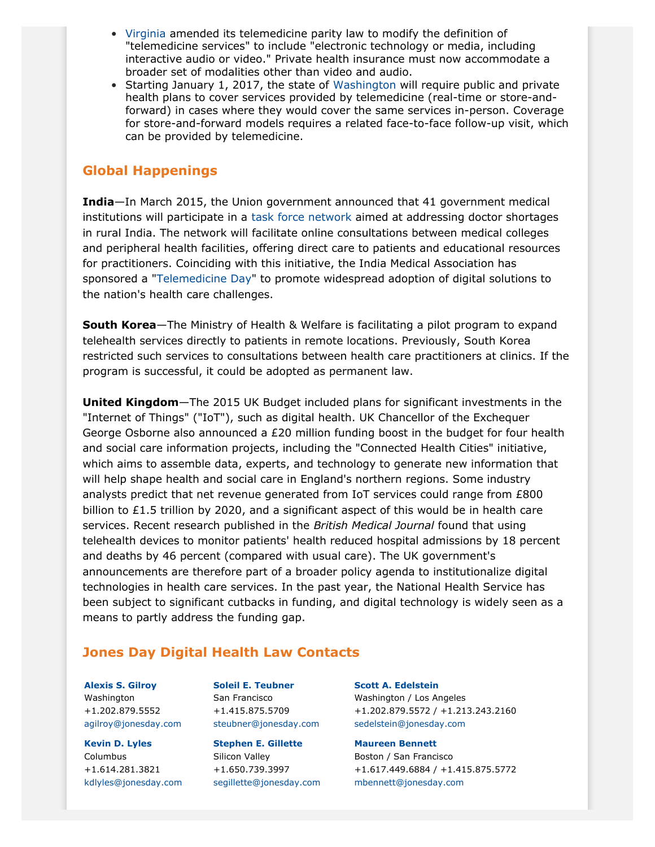- [Virginia](http://lis.virginia.gov/cgi-bin/legp604.exe?151+ful+CHAP0115) amended its telemedicine parity law to modify the definition of "telemedicine services" to include "electronic technology or media, including interactive audio or video." Private health insurance must now accommodate a broader set of modalities other than video and audio.
- Starting January 1, 2017, the state of [Washington](http://lawfilesext.leg.wa.gov/biennium/2015-16/Pdf/Bills/Senate%20Passed%20Legislature/5175-S.PL.pdf) will require public and private health plans to cover services provided by telemedicine (real-time or store-andforward) in cases where they would cover the same services in-person. Coverage for store-and-forward models requires a related face-to-face follow-up visit, which can be provided by telemedicine.

### **Global Happenings**

**India**—In March 2015, the Union government announced that 41 government medical institutions will participate in a [task force network](http://www.thehindu.com/news/cities/Delhi/govt-focuses-on-telemedicine/article6992510.ece?homepage=true) aimed at addressing doctor shortages in rural India. The network will facilitate online consultations between medical colleges and peripheral health facilities, offering direct care to patients and educational resources for practitioners. Coinciding with this initiative, the India Medical Association has sponsored a ["Telemedicine Day](http://www.thehindu.com/news/cities/chennai/telemedicine-must-be-used-to-combat-doctor-shortage/article7029878.ece?homepage=true)" to promote widespread adoption of digital solutions to the nation's health care challenges.

**South Korea**—The Ministry of Health & Welfare is facilitating a pilot program to expand telehealth services directly to patients in remote locations. Previously, South Korea restricted such services to consultations between health care practitioners at clinics. If the program is successful, it could be adopted as permanent law.

**United Kingdom**—The 2015 UK Budget included plans for significant investments in the "Internet of Things" ("IoT"), such as digital health. UK Chancellor of the Exchequer George Osborne also announced a  $E20$  million funding boost in the budget for four health and social care information projects, including the "Connected Health Cities" initiative, which aims to assemble data, experts, and technology to generate new information that will help shape health and social care in England's northern regions. Some industry analysts predict that net revenue generated from IoT services could range from £800 billion to £1.5 trillion by 2020, and a significant aspect of this would be in health care services. Recent research published in the *British Medical Journal* found that using telehealth devices to monitor patients' health reduced hospital admissions by 18 percent and deaths by 46 percent (compared with usual care). The UK government's announcements are therefore part of a broader policy agenda to institutionalize digital technologies in health care services. In the past year, the National Health Service has been subject to significant cutbacks in funding, and digital technology is widely seen as a means to partly address the funding gap.

### <span id="page-3-0"></span>**Jones Day Digital Health Law Contacts**

**[Alexis S. Gilroy](http://www.jonesday.com/agilroy)** Washington +1.202.879.5552 [agilroy@jonesday.com](mailto:agilroy@jonesday.com)

**[Kevin D. Lyles](http://www.jonesday.com/kdlyles)** Columbus +1.614.281.3821 [kdlyles@jonesday.com](mailto:kdlyles@jonesday.com)

**[Soleil E. Teubner](http://www.jonesday.com/steubner)** San Francisco +1.415.875.5709 [steubner@jonesday.com](mailto:steubner@jonesday.com)

**[Stephen E. Gillette](http://www.jonesday.com/segillette)** Silicon Valley +1.650.739.3997 [segillette@jonesday.com](mailto:segillette@jonesday.com) **[Scott A. Edelstein](http://www.jonesday.com/sedelstein)**

Washington / Los Angeles +1.202.879.5572 / +1.213.243.2160 [sedelstein@jonesday.com](mailto:sedelstein@jonesday.com)

**[Maureen Bennett](http://www.jonesday.com/mbennett)**

Boston / San Francisco +1.617.449.6884 / +1.415.875.5772 [mbennett@jonesday.com](mailto:mbennett@jonesday.com)